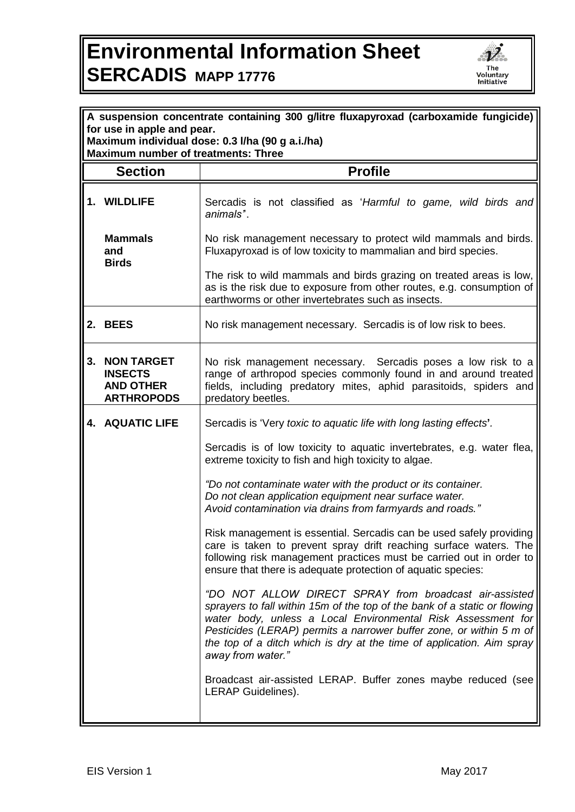## **Environmental Information Sheet SERCADIS MAPP 17776**



| A suspension concentrate containing 300 g/litre fluxapyroxad (carboxamide fungicide) |                                                                              |                                                                                                                                                                                                                                                                                                                                                                          |  |
|--------------------------------------------------------------------------------------|------------------------------------------------------------------------------|--------------------------------------------------------------------------------------------------------------------------------------------------------------------------------------------------------------------------------------------------------------------------------------------------------------------------------------------------------------------------|--|
| for use in apple and pear.<br>Maximum individual dose: 0.3 I/ha (90 g a.i./ha)       |                                                                              |                                                                                                                                                                                                                                                                                                                                                                          |  |
| <b>Maximum number of treatments: Three</b>                                           |                                                                              |                                                                                                                                                                                                                                                                                                                                                                          |  |
|                                                                                      | <b>Section</b>                                                               | <b>Profile</b>                                                                                                                                                                                                                                                                                                                                                           |  |
|                                                                                      | 1. WILDLIFE                                                                  | Sercadis is not classified as 'Harmful to game, wild birds and<br>animals".                                                                                                                                                                                                                                                                                              |  |
|                                                                                      | <b>Mammals</b><br>and<br><b>Birds</b>                                        | No risk management necessary to protect wild mammals and birds.<br>Fluxapyroxad is of low toxicity to mammalian and bird species.                                                                                                                                                                                                                                        |  |
|                                                                                      |                                                                              | The risk to wild mammals and birds grazing on treated areas is low,<br>as is the risk due to exposure from other routes, e.g. consumption of<br>earthworms or other invertebrates such as insects.                                                                                                                                                                       |  |
|                                                                                      | 2. BEES                                                                      | No risk management necessary. Sercadis is of low risk to bees.                                                                                                                                                                                                                                                                                                           |  |
| 3.                                                                                   | <b>NON TARGET</b><br><b>INSECTS</b><br><b>AND OTHER</b><br><b>ARTHROPODS</b> | No risk management necessary. Sercadis poses a low risk to a<br>range of arthropod species commonly found in and around treated<br>fields, including predatory mites, aphid parasitoids, spiders and<br>predatory beetles.                                                                                                                                               |  |
|                                                                                      | 4. AQUATIC LIFE                                                              | Sercadis is 'Very toxic to aquatic life with long lasting effects'.                                                                                                                                                                                                                                                                                                      |  |
|                                                                                      |                                                                              | Sercadis is of low toxicity to aquatic invertebrates, e.g. water flea,<br>extreme toxicity to fish and high toxicity to algae.                                                                                                                                                                                                                                           |  |
|                                                                                      |                                                                              | "Do not contaminate water with the product or its container.<br>Do not clean application equipment near surface water.<br>Avoid contamination via drains from farmyards and roads."                                                                                                                                                                                      |  |
|                                                                                      |                                                                              | Risk management is essential. Sercadis can be used safely providing<br>care is taken to prevent spray drift reaching surface waters. The<br>following risk management practices must be carried out in order to<br>ensure that there is adequate protection of aquatic species:                                                                                          |  |
|                                                                                      |                                                                              | "DO NOT ALLOW DIRECT SPRAY from broadcast air-assisted<br>sprayers to fall within 15m of the top of the bank of a static or flowing<br>water body, unless a Local Environmental Risk Assessment for<br>Pesticides (LERAP) permits a narrower buffer zone, or within 5 m of<br>the top of a ditch which is dry at the time of application. Aim spray<br>away from water." |  |
|                                                                                      |                                                                              | Broadcast air-assisted LERAP. Buffer zones maybe reduced (see<br>LERAP Guidelines).                                                                                                                                                                                                                                                                                      |  |
|                                                                                      |                                                                              |                                                                                                                                                                                                                                                                                                                                                                          |  |